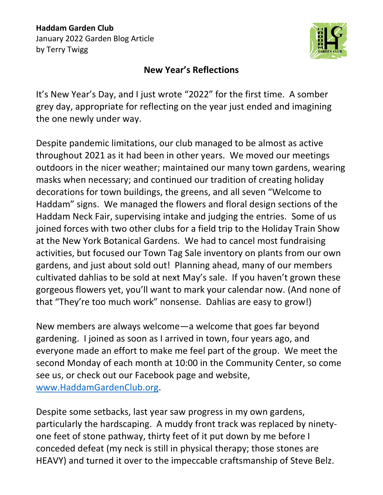

## **New Year's Reflections**

It's New Year's Day, and I just wrote "2022" for the first time. A somber grey day, appropriate for reflecting on the year just ended and imagining the one newly under way.

Despite pandemic limitations, our club managed to be almost as active throughout 2021 as it had been in other years. We moved our meetings outdoors in the nicer weather; maintained our many town gardens, wearing masks when necessary; and continued our tradition of creating holiday decorations for town buildings, the greens, and all seven "Welcome to Haddam" signs. We managed the flowers and floral design sections of the Haddam Neck Fair, supervising intake and judging the entries. Some of us joined forces with two other clubs for a field trip to the Holiday Train Show at the New York Botanical Gardens. We had to cancel most fundraising activities, but focused our Town Tag Sale inventory on plants from our own gardens, and just about sold out! Planning ahead, many of our members cultivated dahlias to be sold at next May's sale. If you haven't grown these gorgeous flowers yet, you'll want to mark your calendar now. (And none of that "They're too much work" nonsense. Dahlias are easy to grow!)

New members are always welcome—a welcome that goes far beyond gardening. I joined as soon as I arrived in town, four years ago, and everyone made an effort to make me feel part of the group. We meet the second Monday of each month at 10:00 in the Community Center, so come see us, or check out our Facebook page and website, [www.HaddamGardenClub.org.](http://www.haddamgardenclub.org/)

Despite some setbacks, last year saw progress in my own gardens, particularly the hardscaping. A muddy front track was replaced by ninetyone feet of stone pathway, thirty feet of it put down by me before I conceded defeat (my neck is still in physical therapy; those stones are HEAVY) and turned it over to the impeccable craftsmanship of Steve Belz.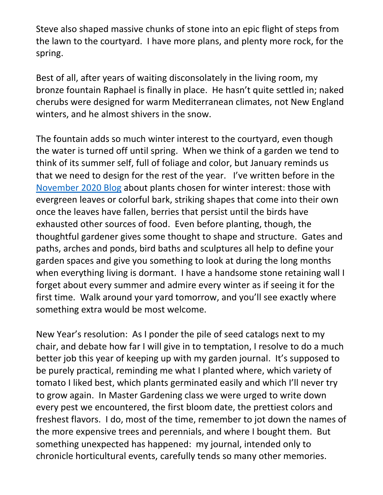Steve also shaped massive chunks of stone into an epic flight of steps from the lawn to the courtyard. I have more plans, and plenty more rock, for the spring.

Best of all, after years of waiting disconsolately in the living room, my bronze fountain Raphael is finally in place. He hasn't quite settled in; naked cherubs were designed for warm Mediterranean climates, not New England winters, and he almost shivers in the snow.

The fountain adds so much winter interest to the courtyard, even though the water is turned off until spring. When we think of a garden we tend to think of its summer self, full of foliage and color, but January reminds us that we need to design for the rest of the year. I've written before in the [November 2020 Blog](https://8268f1d1-6ac9-4492-89ec-336922e0f2fb.filesusr.com/ugd/edd350_6e1324af541d4ef380d74869d67c2658.pdf) about plants chosen for winter interest: those with evergreen leaves or colorful bark, striking shapes that come into their own once the leaves have fallen, berries that persist until the birds have exhausted other sources of food. Even before planting, though, the thoughtful gardener gives some thought to shape and structure. Gates and paths, arches and ponds, bird baths and sculptures all help to define your garden spaces and give you something to look at during the long months when everything living is dormant. I have a handsome stone retaining wall I forget about every summer and admire every winter as if seeing it for the first time. Walk around your yard tomorrow, and you'll see exactly where something extra would be most welcome.

New Year's resolution: As I ponder the pile of seed catalogs next to my chair, and debate how far I will give in to temptation, I resolve to do a much better job this year of keeping up with my garden journal. It's supposed to be purely practical, reminding me what I planted where, which variety of tomato I liked best, which plants germinated easily and which I'll never try to grow again. In Master Gardening class we were urged to write down every pest we encountered, the first bloom date, the prettiest colors and freshest flavors. I do, most of the time, remember to jot down the names of the more expensive trees and perennials, and where I bought them. But something unexpected has happened: my journal, intended only to chronicle horticultural events, carefully tends so many other memories.